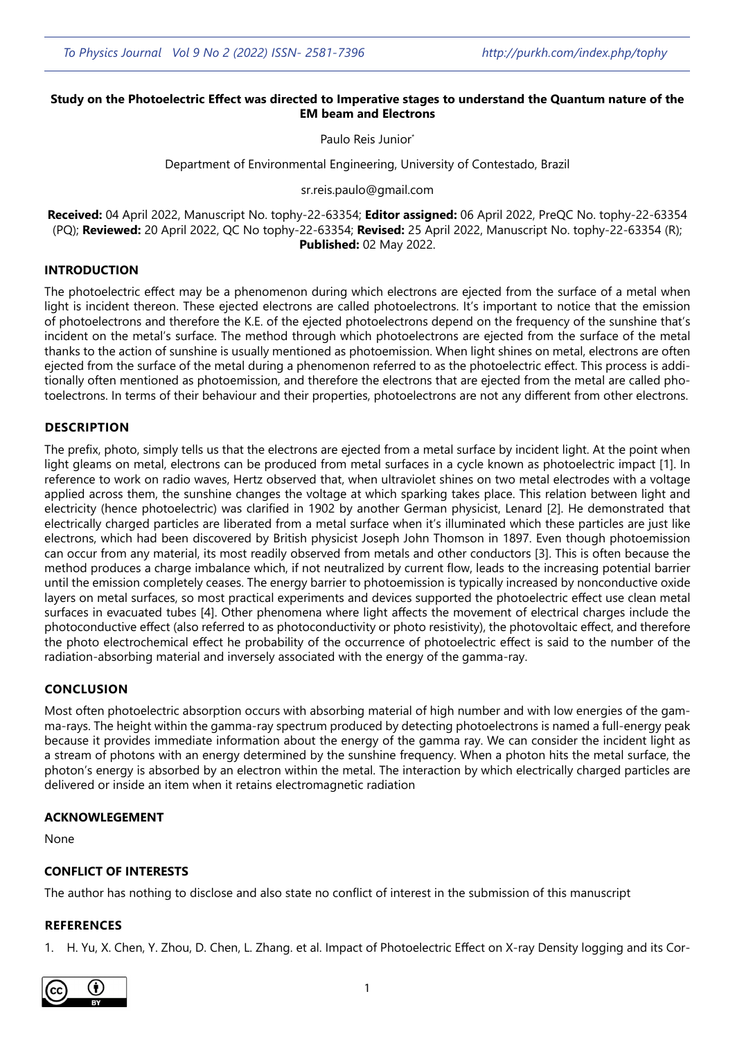# **Study on the Photoelectric Effect was directed to Imperative stages to understand the Quantum nature of the**

**EM beam and Electrons** Paulo Reis Junior<sup>\*</sup>

Department of Environmental Engineering, University of Contestado, Brazil

sr.reis.paulo@gmail.com

**Received:** 04 April 2022, Manuscript No. tophy-22-63354; **Editor assigned:** 06 April 2022, PreQC No. tophy-22-63354 (PQ); **Reviewed:** 20 April 2022, QC No tophy-22-63354; **Revised:** 25 April 2022, Manuscript No. tophy-22-63354 (R); **Published:** 02 May 2022.

### **INTRODUCTION**

The photoelectric effect may be a phenomenon during which electrons are ejected from the surface of a metal when light is incident thereon. These ejected electrons are called photoelectrons. It's important to notice that the emission of photoelectrons and therefore the K.E. of the ejected photoelectrons depend on the frequency of the sunshine that's incident on the metal's surface. The method through which photoelectrons are ejected from the surface of the metal thanks to the action of sunshine is usually mentioned as photoemission. When light shines on metal, electrons are often ejected from the surface of the metal during a phenomenon referred to as the photoelectric effect. This process is additionally often mentioned as photoemission, and therefore the electrons that are ejected from the metal are called photoelectrons. In terms of their behaviour and their properties, photoelectrons are not any different from other electrons.

## **DESCRIPTION**

The prefix, photo, simply tells us that the electrons are ejected from a metal surface by incident light. At the point when light gleams on metal, electrons can be produced from metal surfaces in a cycle known as photoelectric impact [1]. In reference to work on radio waves, Hertz observed that, when ultraviolet shines on two metal electrodes with a voltage applied across them, the sunshine changes the voltage at which sparking takes place. This relation between light and electricity (hence photoelectric) was clarified in 1902 by another German physicist, Lenard [2]. He demonstrated that electrically charged particles are liberated from a metal surface when it's illuminated which these particles are just like electrons, which had been discovered by British physicist Joseph John Thomson in 1897. Even though photoemission can occur from any material, its most readily observed from metals and other conductors [3]. This is often because the method produces a charge imbalance which, if not neutralized by current flow, leads to the increasing potential barrier until the emission completely ceases. The energy barrier to photoemission is typically increased by nonconductive oxide layers on metal surfaces, so most practical experiments and devices supported the photoelectric effect use clean metal surfaces in evacuated tubes [4]. Other phenomena where light affects the movement of electrical charges include the photoconductive effect (also referred to as photoconductivity or photo resistivity), the photovoltaic effect, and therefore the photo electrochemical effect he probability of the occurrence of photoelectric effect is said to the number of the radiation-absorbing material and inversely associated with the energy of the gamma-ray.

## **CONCLUSION**

Most often photoelectric absorption occurs with absorbing material of high number and with low energies of the gamma-rays. The height within the gamma-ray spectrum produced by detecting photoelectrons is named a full-energy peak because it provides immediate information about the energy of the gamma ray. We can consider the incident light as a stream of photons with an energy determined by the sunshine frequency. When a photon hits the metal surface, the photon's energy is absorbed by an electron within the metal. The interaction by which electrically charged particles are delivered or inside an item when it retains electromagnetic radiation

### **ACKNOWLEGEMENT**

None

## **CONFLICT OF INTERESTS**

The author has nothing to disclose and also state no conflict of interest in the submission of this manuscript

### **REFERENCES**

1. H. Yu, X. Chen, Y. Zhou, D. Chen, L. Zhang. et al. [Impact of Photoelectric Effect o](https://pubmed.ncbi.nlm.nih.gov/31665650/)n X-ray Density logging and its Cor-